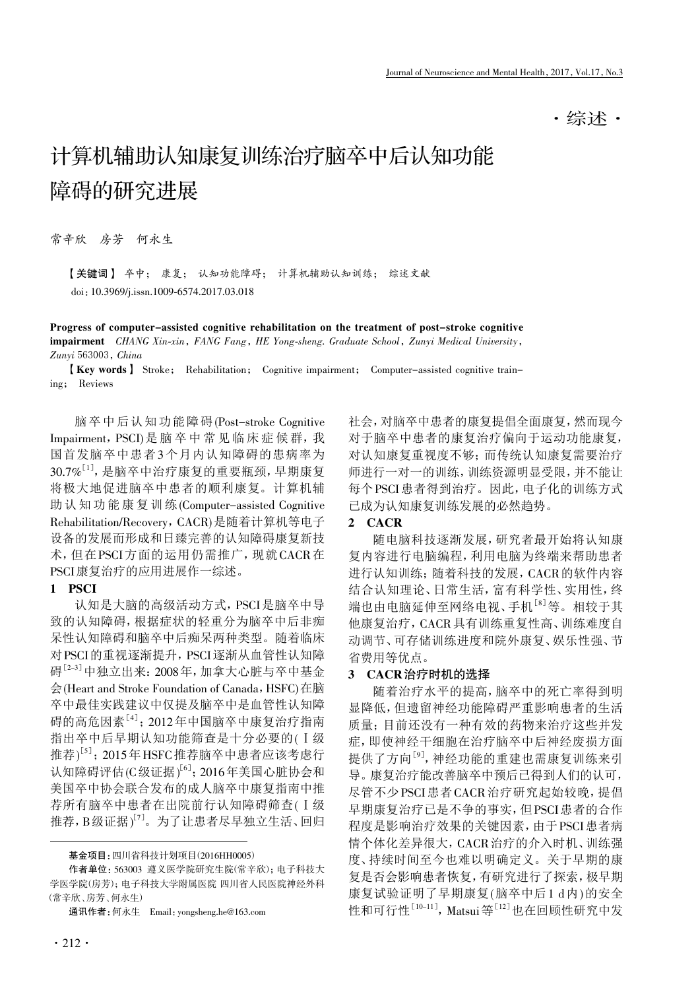·综述·

# 计算机辅助认知康复训练治疗脑卒中后认知功能 障碍的研究进展

常辛欣 房芳 何永生

【关键词】 卒中; 康复; 认知功能障碍; 计算机辅助认知训练; 综述文献 doi:10.3969/j.issn.1009-6574.2017.03.018

Progress of computer-assisted cognitive rehabilitation on the treatment of post-stroke cognitive impairment CHANG Xin-xin, FANG Fang, HE Yong-sheng. Graduate School, Zunyi Medical University, Zunyi 563003, China

【Key words】 Stroke; Rehabilitation; Cognitive impairment; Computer-assisted cognitive training; Reviews

脑卒中后认知功能障碍(Post-stroke Cognitive Impairment, PSCI)是 脑 卒 中 常 见 临 床 症 候 群, 我 国首发脑卒中患者3个月内认知障碍的患病率为  $30.7\%$ [1], 是脑卒中治疗康复的重要瓶颈, 早期康复 将极大地促进脑卒中患者的顺利康复。计算机辅 助认知功能康复训练(Computer-assisted Cognitive Rehabilitation/Recovery, CACR)是随着计算机等电子 设备的发展而形成和日臻完善的认知障碍康复新技 术,但在PSCI方面的运用仍需推广,现就CACR在 PSCI康复治疗的应用进展作一综述。

#### 1 PSCI

认知是大脑的高级活动方式,PSCI是脑卒中导 致的认知障碍,根据症状的轻重分为脑卒中后非痴 呆性认知障碍和脑卒中后痴呆两种类型。随着临床 对PSCI的重视逐渐提升,PSCI逐渐从血管性认知障 碍<sup>[2-3]</sup>中独立出来: 2008年, 加拿大心脏与卒中基金 会(Heart and Stroke Foundation of Canada, HSFC)在脑 卒中最佳实践建议中仅提及脑卒中是血管性认知障 碍的高危因素<sup>[4]</sup>; 2012年中国脑卒中康复治疗指南 指出卒中后早期认知功能筛查是十分必要的(Ⅰ级 推荐)[5]; 2015年HSFC推荐脑卒中患者应该考虑行 认知障碍评估(C级证据) $^{\left[ 6 \right]}$ ; 2016年美国心脏协会和 美国卒中协会联合发布的成人脑卒中康复指南中推 荐所有脑卒中患者在出院前行认知障碍筛查(Ⅰ级 推荐, B级证据)<sup>[7]</sup>。为了让患者尽早独立生活、回归

 基金项目:四川省科技计划项目(2016HH0005)

作者单位: 563003 遵义医学院研究生院(常辛欣); 电子科技大 学医学院(房芳);电子科技大学附属医院 四川省人民医院神经外科 (常辛欣、房芳、何永生)

通讯作者:何永生 Email:yongsheng.he@163.com

社会,对脑卒中患者的康复提倡全面康复,然而现今 对于脑卒中患者的康复治疗偏向于运动功能康复, 对认知康复重视度不够;而传统认知康复需要治疗 师进行一对一的训练,训练资源明显受限,并不能让 每个PSCI患者得到治疗。因此,电子化的训练方式 已成为认知康复训练发展的必然趋势。

### 2 CACR

随电脑科技逐渐发展,研究者最开始将认知康 复内容进行电脑编程,利用电脑为终端来帮助患者 进行认知训练;随着科技的发展,CACR的软件内容 结合认知理论、日常生活,富有科学性、实用性,终 端也由电脑延伸至网络电视、手机<sup>[8]</sup>等。相较于其 他康复治疗,CACR具有训练重复性高、训练难度自 动调节、可存储训练进度和院外康复、娱乐性强、节 省费用等优点。

#### 3 CACR治疗时机的选择

随着治疗水平的提高,脑卒中的死亡率得到明 显降低,但遗留神经功能障碍严重影响患者的生活 质量;目前还没有一种有效的药物来治疗这些并发 症,即使神经干细胞在治疗脑卒中后神经废损方面 提供了方向<sup>[9]</sup>, 神经功能的重建也需康复训练来引 导。康复治疗能改善脑卒中预后已得到人们的认可, 尽管不少PSCI患者CACR治疗研究起始较晚,提倡 早期康复治疗已是不争的事实,但PSCI患者的合作 程度是影响治疗效果的关键因素,由于PSCI患者病 情个体化差异很大,CACR治疗的介入时机、训练强 度、持续时间至今也难以明确定义。关于早期的康 复是否会影响患者恢复,有研究进行了探索,极早期 康复试验证明了早期康复(脑卒中后1 d内)的安全 性和可行性<sup>[10-11]</sup>, Matsui等<sup>[12]</sup>也在回顾性研究中发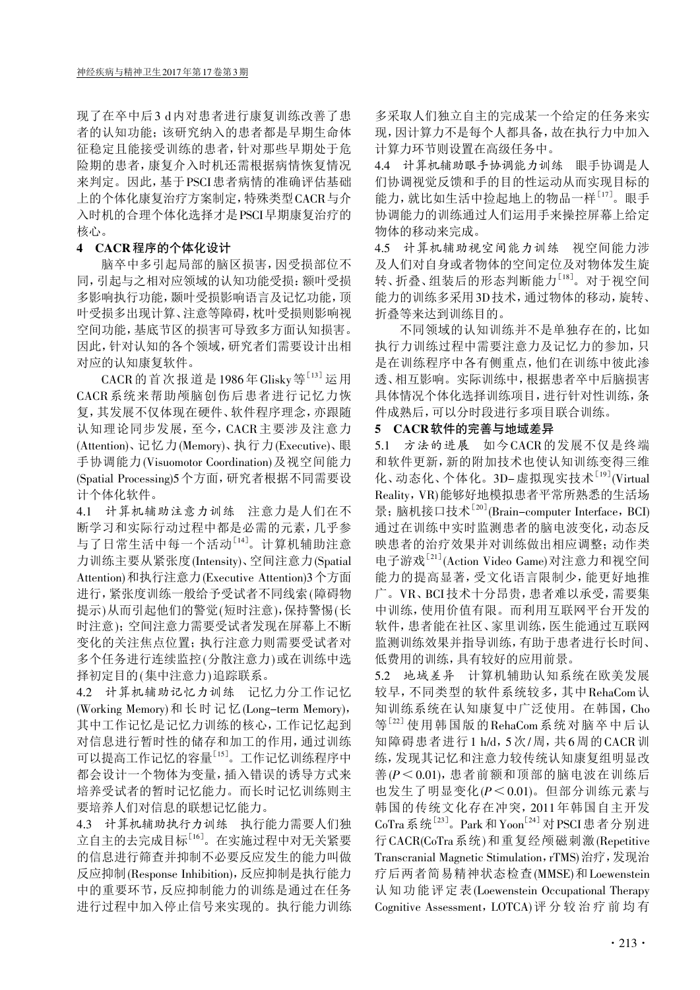现了在卒中后3 d内对患者进行康复训练改善了患 者的认知功能;该研究纳入的患者都是早期生命体 征稳定且能接受训练的患者,针对那些早期处于危 险期的患者,康复介入时机还需根据病情恢复情况 来判定。因此,基于PSCI患者病情的准确评估基础 上的个体化康复治疗方案制定,特殊类型CACR与介 入时机的合理个体化选择才是PSCI早期康复治疗的 核心。

## 4 CACR程序的个体化设计

脑卒中多引起局部的脑区损害,因受损部位不 同,引起与之相对应领域的认知功能受损:额叶受损 多影响执行功能,颞叶受损影响语言及记忆功能,顶 叶受损多出现计算、注意等障碍,枕叶受损则影响视 空间功能,基底节区的损害可导致多方面认知损害。 因此,针对认知的各个领域,研究者们需要设计出相 对应的认知康复软件。

CACR 的首次报道是 1986年 Glisky 等<sup>[13]</sup> 运用 CACR系统来帮助颅脑创伤后患者进行记忆力恢 复,其发展不仅体现在硬件、软件程序理念,亦跟随 认知理论同步发展,至今,CACR主要涉及注意力 (Attention)、记忆力(Memory)、执行力(Executive)、眼 手协调能力(Visuomotor Coordination)及视空间能力 (Spatial Processing)5个方面,研究者根据不同需要设 计个体化软件。

4.1 计算机辅助注意力训练 注意力是人们在不 断学习和实际行动过程中都是必需的元素,几乎参 与了日常生活中每一个活动[14]。 计算机辅助注意 力训练主要从紧张度(Intensity)、空间注意力(Spatial Attention)和执行注意力(Executive Attention)3个方面 进行,紧张度训练一般给予受试者不同线索(障碍物 提示)从而引起他们的警觉(短时注意),保持警惕(长 时注意);空间注意力需要受试者发现在屏幕上不断 变化的关注焦点位置;执行注意力则需要受试者对 多个任务进行连续监控(分散注意力)或在训练中选 择初定目的(集中注意力)追踪联系。

4.2 计算机辅助记忆力训练 记忆力分工作记忆 (Working Memory)和长时记忆(Long-term Memory), 其中工作记忆是记忆力训练的核心,工作记忆起到 对信息进行暂时性的储存和加工的作用,通过训练 可以提高工作记忆的容量[15] 。工作记忆训练程序中 都会设计一个物体为变量,插入错误的诱导方式来 培养受试者的暂时记忆能力。而长时记忆训练则主 要培养人们对信息的联想记忆能力。

4.3 计算机辅助执行力训练 执行能力需要人们独 立自主的去完成目标<sup>[16]</sup>。在实施过程中对无关紧要 的信息进行筛查并抑制不必要反应发生的能力叫做 反应抑制(Response Inhibition),反应抑制是执行能力 中的重要环节,反应抑制能力的训练是通过在任务 进行过程中加入停止信号来实现的。执行能力训练

多采取人们独立自主的完成某一个给定的任务来实 现,因计算力不是每个人都具备,故在执行力中加入 计算力环节则设置在高级任务中。

4.4 计算机辅助眼手协调能力训练 眼手协调是人 们协调视觉反馈和手的目的性运动从而实现目标的 能力,就比如生活中捡起地上的物品一样[17] 。眼手 协调能力的训练通过人们运用手来操控屏幕上给定 物体的移动来完成。

4.5 计算机辅助视空间能力训练 视空间能力涉 及人们对自身或者物体的空间定位及对物体发生旋 转、折叠、组装后的形态判断能力[18]。对于视空间 能力的训练多采用3D技术,通过物体的移动,旋转、 折叠等来达到训练目的。

不同领域的认知训练并不是单独存在的,比如 执行力训练过程中需要注意力及记忆力的参加,只 是在训练程序中各有侧重点,他们在训练中彼此渗 透、相互影响。实际训练中,根据患者卒中后脑损害 具体情况个体化选择训练项目,进行针对性训练,条 件成熟后,可以分时段进行多项目联合训练。

#### 5 CACR软件的完善与地域差异

5.1 方法的进展 如今CACR的发展不仅是终端 和软件更新,新的附加技术也使认知训练变得三维 化、动态化、个体化。3D-虚拟现实技术<sup>[19]</sup>(Virtual Reality,VR)能够好地模拟患者平常所熟悉的生活场 景; 脑机接口技术<sup>[20]</sup>(Brain-computer Interface, BCI) 通过在训练中实时监测患者的脑电波变化,动态反 映患者的治疗效果并对训练做出相应调整;动作类 电子游戏[21] (Action Video Game)对注意力和视空间 能力的提高显著,受文化语言限制少,能更好地推 广。VR、BCI技术十分昂贵,患者难以承受,需要集 中训练,使用价值有限。而利用互联网平台开发的 软件,患者能在社区、家里训练,医生能通过互联网 监测训练效果并指导训练,有助于患者进行长时间、 低费用的训练,具有较好的应用前景。

5.2 地域差异 计算机辅助认知系统在欧美发展 较早,不同类型的软件系统较多,其中RehaCom认 知训练系统在认知康复中广泛使用。在韩国,Cho 等 $[22]$ 使用韩国版的RehaCom系统对脑卒中后认 知障碍患者进行1 h/d,5次/周,共6周的CACR训 练,发现其记忆和注意力较传统认知康复组明显改 善(P<0.01),患者前额和顶部的脑电波在训练后 也发生了明显变化(P<0.01)。但部分训练元素与 韩国的传统文化存在冲突,2011年韩国自主开发 CoTra系统<sup>[23]</sup>。Park和Yoon<sup>[24]</sup>对PSCI患者分别进 行CACR(CoTra系统)和重复经颅磁刺激(Repetitive Transcranial Magnetic Stimulation, rTMS) 治疗, 发现治 疗后两者简易精神状态检查(MMSE)和Loewenstein 认知功能评定表(Loewenstein Occupational Therapy Cognitive Assessment,LOTCA)评分较治疗前均有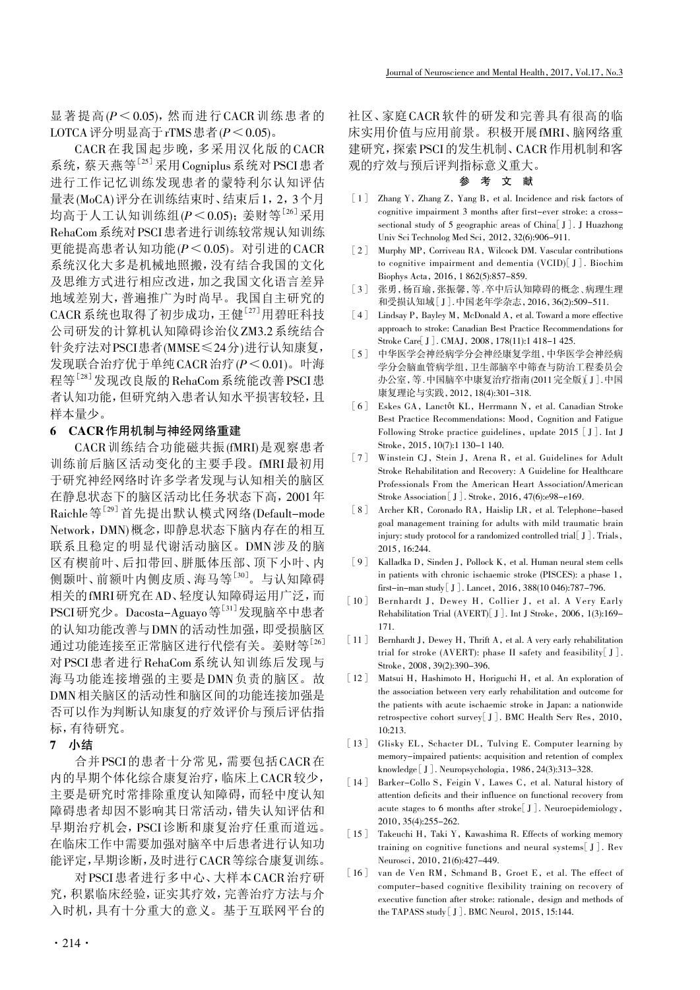显著提高 $(P < 0.05)$ , 然而进行CACR 训练患者的 LOTCA 评分明显高于 rTMS 患者  $(P < 0.05)$ 。

CACR在我国起步晚,多采用汉化版的CACR 系统,蔡天燕等[25]采用Cogniplus系统对PSCI患者 进行工作记忆训练发现患者的蒙特利尔认知评估 量表(MoCA)评分在训练结束时、结束后1,2,3个月 均高于人工认知训练组 $(P \leq 0.05)$ ; 姜财等<sup>[26]</sup>采用 RehaCom系统对PSCI患者进行训练较常规认知训练 更能提高患者认知功能 $(P < 0.05)$ 。对引进的CACR 系统汉化大多是机械地照搬,没有结合我国的文化 及思维方式进行相应改进,加之我国文化语言差异 地域差别大,普遍推广为时尚早。我国自主研究的 CACR系统也取得了初步成功,王健<sup>[27]</sup>用碧旺科技 公司研发的计算机认知障碍诊治仪ZM3.2系统结合 针灸疗法对PSCI患者(MMSE≤24分)进行认知康复, 发现联合治疗优于单纯CACR治疗(P<0.01)。叶海 程等<sup>[28]</sup>发现改良版的RehaCom系统能改善PSCI患 者认知功能,但研究纳入患者认知水平损害较轻,且 样本量少。

# 6 CACR作用机制与神经网络重建

CACR训练结合功能磁共振(fMRI)是观察患者 训练前后脑区活动变化的主要手段。fMRI最初用 于研究神经网络时许多学者发现与认知相关的脑区 在静息状态下的脑区活动比任务状态下高,2001年 Raichle等[29]首先提出默认模式网络(Default-mode Network,DMN)概念,即静息状态下脑内存在的相互 联系且稳定的明显代谢活动脑区。DMN涉及的脑 区有楔前叶、后扣带回、胼胝体压部、顶下小叶、内 侧颞叶、前额叶内侧皮质、海马等<sup>[30]</sup>。与认知障碍 相关的fMRI研究在AD、轻度认知障碍运用广泛,而 PSCI研究少。Dacosta-Aguayo等<sup>[31]</sup>发现脑卒中患者 的认知功能改善与DMN的活动性加强,即受损脑区 通过功能连接至正常脑区进行代偿有关。姜财等[26] 对PSCI患者进行RehaCom系统认知训练后发现与 海马功能连接增强的主要是DMN负责的脑区。故 DMN相关脑区的活动性和脑区间的功能连接加强是 否可以作为判断认知康复的疗效评价与预后评估指 标,有待研究。

# 7 小结

合并PSCI的患者十分常见,需要包括CACR在 内的早期个体化综合康复治疗,临床上CACR较少, 主要是研究时常排除重度认知障碍,而轻中度认知 障碍患者却因不影响其日常活动,错失认知评估和 早期治疗机会,PSCI诊断和康复治疗任重而道远。 在临床工作中需要加强对脑卒中后患者进行认知功 能评定,早期诊断,及时进行CACR等综合康复训练。

对PSCI患者进行多中心、大样本CACR治疗研 究,积累临床经验,证实其疗效,完善治疗方法与介 入时机,具有十分重大的意义。基于互联网平台的

社区、家庭CACR软件的研发和完善具有很高的临 床实用价值与应用前景。积极开展fMRI、脑网络重 建研究,探索PSCI的发生机制、CACR作用机制和客 观的疗效与预后评判指标意义重大。

#### 参 考 文 献

- [1] Zhang Y, Zhang Z, Yang B, et al. Incidence and risk factors of cognitive impairment 3 months after first-ever stroke: a crosssectional study of 5 geographic areas of China[J]. J Huazhong Univ Sci Technolog Med Sci, 2012,32(6):906-911.
- [2] Murphy MP, Corriveau RA, Wilcock DM. Vascular contributions to cognitive impairment and dementia (VCID)[J]. Biochim Biophys Acta, 2016,1 862(5):857-859.
- [3] 张勇,杨百瑜,张振馨,等 . 卒中后认知障碍的概念、病理生理 和受损认知域[J]. 中国老年学杂志,2016,36(2):509-511.
- [4] Lindsay P, Bayley M, McDonald A, et al. Toward a more effective approach to stroke: Canadian Best Practice Recommendations for Stroke Care[J]. CMAJ, 2008,178(11):1 418-1 425.
- [5] 中华医学会神经病学分会神经康复学组,中华医学会神经病 学分会脑血管病学组,卫生部脑卒中筛查与防治工程委员会 办公室, 等. 中国脑卒中康复治疗指南 (2011 完全版 )[J]. 中国 康复理论与实践,2012,18(4):301-318.
- [6] Eskes GA, Lanctôt KL, Herrmann N, et al. Canadian Stroke Best Practice Recommendations: Mood, Cognition and Fatigue Following Stroke practice guidelines, update 2015  $\lceil J \rceil$ . Int J Stroke, 2015,10(7):1 130-1 140.
- [7] Winstein CJ, Stein J, Arena R, et al. Guidelines for Adult Stroke Rehabilitation and Recovery: A Guideline for Healthcare Professionals From the American Heart Association/American Stroke Association [J]. Stroke, 2016,47(6):e98-e169.
- [8] Archer KR, Coronado RA, Haislip LR, et al. Telephone-based goal management training for adults with mild traumatic brain injury: study protocol for a randomized controlled trial  $\lceil J \rceil$ . Trials, 2015,16:244.
- [9] Kalladka D, Sinden J, Pollock K, et al. Human neural stem cells in patients with chronic ischaemic stroke (PISCES): a phase 1, first-in-man study [J]. Lancet, 2016,388(10 046):787-796.
- [10] Bernhardt J, Dewey H, Collier J, et al. A Very Early Rehabilitation Trial (AVERT)<sup>[J]</sup>. Int J Stroke, 2006, 1(3):169-171.
- [11] Bernhardt J, Dewey H, Thrift A, et al. A very early rehabilitation trial for stroke (AVERT): phase II safety and feasibility  $\lceil J \rceil$ . Stroke, 2008,39(2):390-396.
- [12] Matsui H, Hashimoto H, Horiguchi H, et al. An exploration of the association between very early rehabilitation and outcome for the patients with acute ischaemic stroke in Japan: a nationwide retrospective cohort survey[J]. BMC Health Serv Res, 2010, 10:213.
- [13] Glisky EL, Schacter DL, Tulving E. Computer learning by memory-impaired patients: acquisition and retention of complex knowledge [J]. Neuropsychologia, 1986,24(3):313-328.
- [14] Barker-Collo S, Feigin V, Lawes C, et al. Natural history of attention deficits and their influence on functional recovery from acute stages to 6 months after stroke[J]. Neuroepidemiology, 2010,35(4):255-262.
- [15] Takeuchi H, Taki Y, Kawashima R. Effects of working memory training on cognitive functions and neural systems[J]. Rev Neurosci, 2010, 21(6):427-449.
- [16] van de Ven RM, Schmand B, Groet E, et al. The effect of computer-based cognitive flexibility training on recovery of executive function after stroke: rationale, design and methods of the TAPASS study [J]. BMC Neurol, 2015, 15:144.